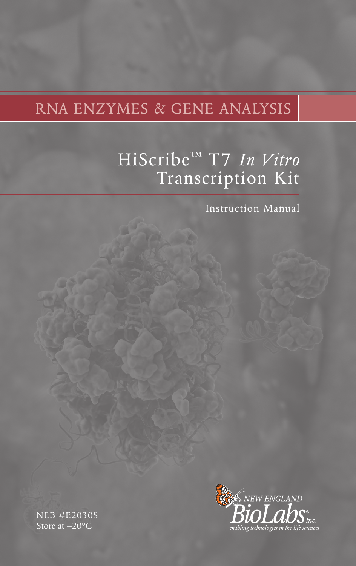# RNA ENZYMES & GENE ANALYSIS

# HiScribe™ T7 *In Vitro*  Transcription Kit

Instruction Manual

NEB #E2030S Store at –20°C

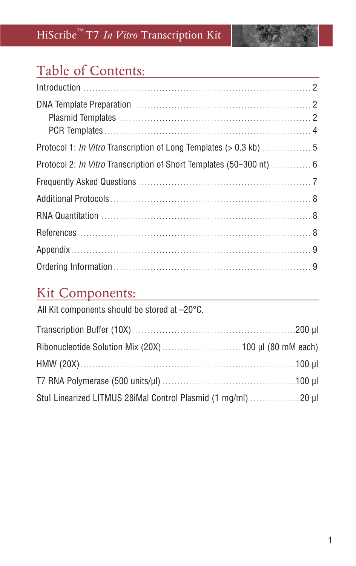## Table of Contents:

| Protocol 2: In Vitro Transcription of Short Templates (50-300 nt)  6 |  |
|----------------------------------------------------------------------|--|
|                                                                      |  |
|                                                                      |  |
|                                                                      |  |
|                                                                      |  |
|                                                                      |  |
|                                                                      |  |

## **Kit Components:**

| All Kit components should be stored at -20°C.                  |  |
|----------------------------------------------------------------|--|
|                                                                |  |
|                                                                |  |
|                                                                |  |
|                                                                |  |
| Stul Linearized LITMUS 28iMal Control Plasmid (1 mg/ml)  20 µl |  |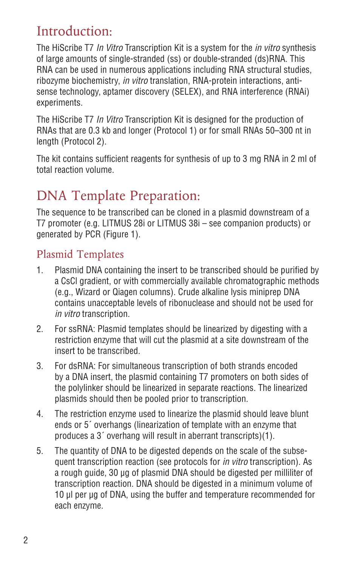### Introduction:

The HiScribe T7 *In Vitro* Transcription Kit is a system for the *in vitro* synthesis of large amounts of single-stranded (ss) or double-stranded (ds)RNA. This RNA can be used in numerous applications including RNA structural studies, ribozyme biochemistry, *in vitro* translation, RNA-protein interactions, antisense technology, aptamer discovery (SELEX), and RNA interference (RNAi) experiments.

The HiScribe T7 *In Vitro* Transcription Kit is designed for the production of RNAs that are 0.3 kb and longer (Protocol 1) or for small RNAs 50–300 nt in length (Protocol 2).

The kit contains sufficient reagents for synthesis of up to 3 mg RNA in 2 ml of total reaction volume.

# DNA Template Preparation:

The sequence to be transcribed can be cloned in a plasmid downstream of a T7 promoter (e.g. LITMUS 28i or LITMUS 38i – see companion products) or generated by PCR (Figure 1).

### Plasmid Templates

- 1. Plasmid DNA containing the insert to be transcribed should be purified by a CsCl gradient, or with commercially available chromatographic methods (e.g., Wizard or Qiagen columns). Crude alkaline lysis miniprep DNA contains unacceptable levels of ribonuclease and should not be used for *in vitro* transcription.
- 2. For ssRNA: Plasmid templates should be linearized by digesting with a restriction enzyme that will cut the plasmid at a site downstream of the insert to be transcribed.
- 3. For dsRNA: For simultaneous transcription of both strands encoded by a DNA insert, the plasmid containing T7 promoters on both sides of the polylinker should be linearized in separate reactions. The linearized plasmids should then be pooled prior to transcription.
- 4. The restriction enzyme used to linearize the plasmid should leave blunt ends or 5´ overhangs (linearization of template with an enzyme that produces a 3´ overhang will result in aberrant transcripts)(1).
- 5. The quantity of DNA to be digested depends on the scale of the subsequent transcription reaction (see protocols for *in vitro* transcription). As a rough guide, 30 µg of plasmid DNA should be digested per milliliter of transcription reaction. DNA should be digested in a minimum volume of 10 µl per µg of DNA, using the buffer and temperature recommended for each enzyme.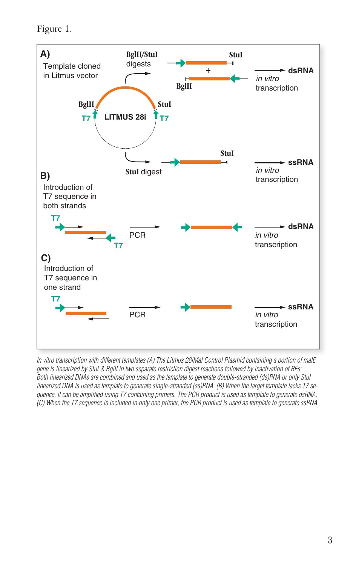Figure 1.



*In vitro transcription with different templates (A) The Litmus 28iMal Control Plasmid containing a portion of malE gene is linearized by StuI & BglII in two separate restriction digest reactions followed by inactivation of REs: Both linearized DNAs are combined and used as the template to generate double-stranded (ds)RNA or only StuI linearized DNA is used as template to generate single-stranded (ss)RNA. (B) When the target template lacks T7 sequence, it can be amplified using T7 containing primers. The PCR product is used as template to generate dsRNA; (C) When the T7 sequence is included in only one primer, the PCR product is used as template to generate ssRNA.*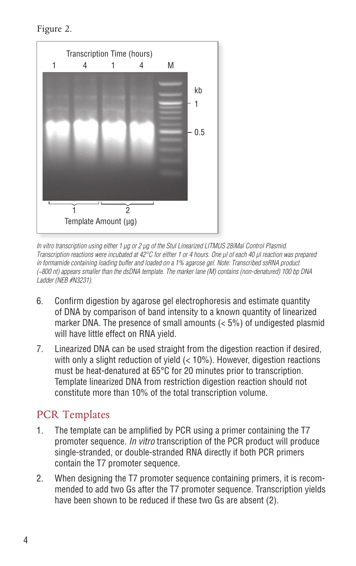Figure 2.



*In vitro transcription using either 1 µg or 2 µg of the StuI Linearized LITMUS 28iMal Control Plasmid. Transcription reactions were incubated at 42°C for either 1 or 4 hours. One µl of each 40 µl reaction was prepared in formamide containing loading buffer and loaded on a 1% agarose gel. Note: Transcribed ssRNA product (~800 nt) appears smaller than the dsDNA template. The marker lane (M) contains (non-denatured) 100 bp DNA Ladder (NEB #N3231).*

- 6. Confirm digestion by agarose gel electrophoresis and estimate quantity of DNA by comparison of band intensity to a known quantity of linearized marker DNA. The presence of small amounts (< 5%) of undigested plasmid will have little effect on RNA yield.
- 7. Linearized DNA can be used straight from the digestion reaction if desired, with only a slight reduction of yield (< 10%). However, digestion reactions must be heat-denatured at 65°C for 20 minutes prior to transcription. Template linearized DNA from restriction digestion reaction should not constitute more than 10% of the total transcription volume.

### PCR Templates

- 1. The template can be amplified by PCR using a primer containing the T7 promoter sequence. *In vitro* transcription of the PCR product will produce single-stranded, or double-stranded RNA directly if both PCR primers contain the T7 promoter sequence.
- 2. When designing the T7 promoter sequence containing primers, it is recommended to add two Gs after the T7 promoter sequence. Transcription yields have been shown to be reduced if these two Gs are absent (2).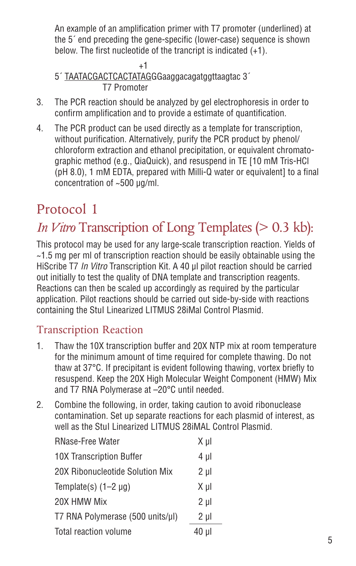An example of an amplification primer with T7 promoter (underlined) at the 5´ end preceding the gene-specific (lower-case) sequence is shown below. The first nucleotide of the trancript is indicated (+1).

 $+1$ 5´ TAATACGACTCACTATAGGGaaggacagatggttaagtac 3´ T7 Promoter

- 3. The PCR reaction should be analyzed by gel electrophoresis in order to confirm amplification and to provide a estimate of quantification.
- 4. The PCR product can be used directly as a template for transcription, without purification. Alternatively, purify the PCR product by phenol/ chloroform extraction and ethanol precipitation, or equivalent chromatographic method (e.g., QiaQuick), and resuspend in TE [10 mM Tris-HCl (pH 8.0), 1 mM EDTA, prepared with Milli-Q water or equivalent] to a final concentration of ~500 µg/ml.

# Protocol 1

# *In Vitro* Transcription of Long Templates (> 0.3 kb):

This protocol may be used for any large-scale transcription reaction. Yields of  $\sim$ 1.5 mg per ml of transcription reaction should be easily obtainable using the HiScribe T7 *In Vitro* Transcription Kit. A 40 µl pilot reaction should be carried out initially to test the quality of DNA template and transcription reagents. Reactions can then be scaled up accordingly as required by the particular application. Pilot reactions should be carried out side-by-side with reactions containing the StuI Linearized LITMUS 28iMal Control Plasmid.

### Transcription Reaction

- 1. Thaw the 10X transcription buffer and 20X NTP mix at room temperature for the minimum amount of time required for complete thawing. Do not thaw at 37°C. If precipitant is evident following thawing, vortex briefly to resuspend. Keep the 20X High Molecular Weight Component (HMW) Mix and T7 RNA Polymerase at –20°C until needed.
- 2. Combine the following, in order, taking caution to avoid ribonuclease contamination. Set up separate reactions for each plasmid of interest, as well as the StuI Linearized LITMUS 28iMAL Control Plasmid.

| <b>RNase-Free Water</b>          | X µl    |
|----------------------------------|---------|
| <b>10X Transcription Buffer</b>  | 4 µl    |
| 20X Ribonucleotide Solution Mix  | $2 \mu$ |
| Template(s) $(1-2 \mu g)$        | Χul     |
| 20X HMW Mix                      | $2 \mu$ |
| T7 RNA Polymerase (500 units/µl) | $2 \mu$ |
| Total reaction volume            | 40 µl   |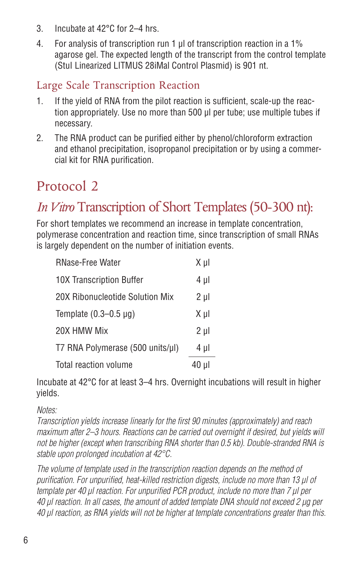- 3. Incubate at 42°C for 2–4 hrs.
- 4. For analysis of transcription run 1 µl of transcription reaction in a 1% agarose gel. The expected length of the transcript from the control template (StuI Linearized LITMUS 28iMal Control Plasmid) is 901 nt.

### Large Scale Transcription Reaction

- 1. If the yield of RNA from the pilot reaction is sufficient, scale-up the reaction appropriately. Use no more than 500 µl per tube; use multiple tubes if necessary.
- 2. The RNA product can be purified either by phenol/chloroform extraction and ethanol precipitation, isopropanol precipitation or by using a commercial kit for RNA purification.

## Protocol 2

# *In Vitro* Transcription of Short Templates (50-300 nt):

For short templates we recommend an increase in template concentration, polymerase concentration and reaction time, since transcription of small RNAs is largely dependent on the number of initiation events.

| <b>RNase-Free Water</b>          | Χμl     |
|----------------------------------|---------|
| <b>10X Transcription Buffer</b>  | 4 µl    |
| 20X Ribonucleotide Solution Mix  | $2 \mu$ |
| Template $(0.3-0.5 \mu g)$       | Χul     |
| 20X HMW Mix                      | $2 \mu$ |
| T7 RNA Polymerase (500 units/µl) | 4 µl    |
| Total reaction volume            | 40 µl   |

Incubate at 42°C for at least 3–4 hrs. Overnight incubations will result in higher yields.

### *Notes:*

*Transcription yields increase linearly for the first 90 minutes (approximately) and reach maximum after 2–3 hours. Reactions can be carried out overnight if desired, but yields will not be higher (except when transcribing RNA shorter than 0.5 kb). Double-stranded RNA is stable upon prolonged incubation at 42°C.* 

*The volume of template used in the transcription reaction depends on the method of purification. For unpurified, heat-killed restriction digests, include no more than 13 µl of template per 40 µl reaction. For unpurified PCR product, include no more than 7 µl per 40 µl reaction. In all cases, the amount of added template DNA should not exceed 2 µg per 40 µl reaction, as RNA yields will not be higher at template concentrations greater than this.*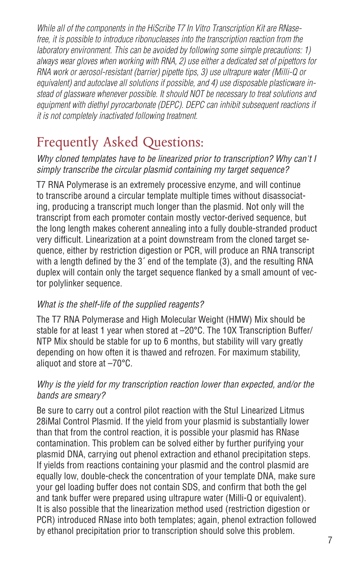*While all of the components in the HiScribe T7 In Vitro Transcription Kit are RNasefree, it is possible to introduce ribonucleases into the transcription reaction from the laboratory environment. This can be avoided by following some simple precautions: 1) always wear gloves when working with RNA, 2) use either a dedicated set of pipettors for RNA work or aerosol-resistant (barrier) pipette tips, 3) use ultrapure water (Milli-Q or equivalent) and autoclave all solutions if possible, and 4) use disposable plasticware instead of glassware whenever possible. It should NOT be necessary to treat solutions and equipment with diethyl pyrocarbonate (DEPC). DEPC can inhibit subsequent reactions if it is not completely inactivated following treatment.*

# Frequently Asked Questions:

*Why cloned templates have to be linearized prior to transcription? Why can't I simply transcribe the circular plasmid containing my target sequence?* 

T7 RNA Polymerase is an extremely processive enzyme, and will continue to transcribe around a circular template multiple times without disassociating, producing a transcript much longer than the plasmid. Not only will the transcript from each promoter contain mostly vector-derived sequence, but the long length makes coherent annealing into a fully double-stranded product very difficult. Linearization at a point downstream from the cloned target sequence, either by restriction digestion or PCR, will produce an RNA transcript with a length defined by the 3<sup>o</sup> end of the template (3), and the resulting RNA duplex will contain only the target sequence flanked by a small amount of vector polylinker sequence.

### *What is the shelf-life of the supplied reagents?*

The T7 RNA Polymerase and High Molecular Weight (HMW) Mix should be stable for at least 1 year when stored at -20°C. The 10X Transcription Buffer/ NTP Mix should be stable for up to 6 months, but stability will vary greatly depending on how often it is thawed and refrozen. For maximum stability, aliquot and store at –70°C.

### *Why is the yield for my transcription reaction lower than expected, and/or the bands are smeary?*

Be sure to carry out a control pilot reaction with the Stul Linearized Litmus 28iMal Control Plasmid. If the yield from your plasmid is substantially lower than that from the control reaction, it is possible your plasmid has RNase contamination. This problem can be solved either by further purifying your plasmid DNA, carrying out phenol extraction and ethanol precipitation steps. If yields from reactions containing your plasmid and the control plasmid are equally low, double-check the concentration of your template DNA, make sure your gel loading buffer does not contain SDS, and confirm that both the gel and tank buffer were prepared using ultrapure water (Milli-Q or equivalent). It is also possible that the linearization method used (restriction digestion or PCR) introduced RNase into both templates; again, phenol extraction followed by ethanol precipitation prior to transcription should solve this problem.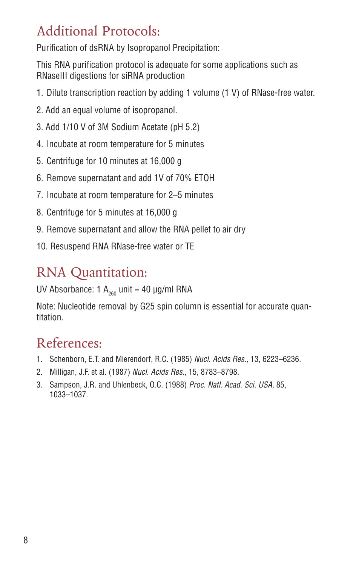## Additional Protocols:

Purification of dsRNA by Isopropanol Precipitation:

This RNA purification protocol is adequate for some applications such as RNaseIII digestions for siRNA production

- 1. Dilute transcription reaction by adding 1 volume (1 V) of RNase-free water.
- 2. Add an equal volume of isopropanol.
- 3. Add 1/10 V of 3M Sodium Acetate (pH 5.2)
- 4. Incubate at room temperature for 5 minutes
- 5. Centrifuge for 10 minutes at 16,000 g
- 6. Remove supernatant and add 1V of 70% ETOH
- 7. Incubate at room temperature for 2–5 minutes
- 8. Centrifuge for 5 minutes at 16,000 g
- 9. Remove supernatant and allow the RNA pellet to air dry
- 10. Resuspend RNA RNase-free water or TE

# RNA Quantitation:

UV Absorbance: 1  $A_{200}$  unit = 40 µg/ml RNA

Note: Nucleotide removal by G25 spin column is essential for accurate quantitation.

## References:

- 1. Schenborn, E.T. and Mierendorf, R.C. (1985) *Nucl. Acids Res.,* 13, 6223–6236.
- 2. Milligan, J.F. et al. (1987) *Nucl. Acids Res.,* 15, 8783–8798.
- 3. Sampson, J.R. and Uhlenbeck, O.C. (1988) *Proc. Natl. Acad. Sci. USA,* 85, 1033–1037.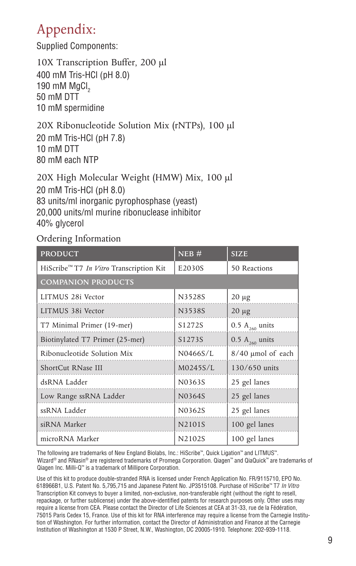## Appendix:

Supplied Components:

10X Transcription Buffer, 200 µl 400 mM Tris-HCl (pH 8.0) 190 mM MgCl<sub>2</sub> 50 mM DTT 10 mM spermidine

20X Ribonucleotide Solution Mix (rNTPs), 100 µl 20 mM Tris-HCl (pH 7.8) 10 mM DTT 80 mM each NTP

20X High Molecular Weight (HMW) Mix, 100 µl 20 mM Tris-HCl (pH 8.0) 83 units/ml inorganic pyrophosphase (yeast) 20,000 units/ml murine ribonuclease inhibitor 40% glycerol

### Ordering Information

| <b>PRODUCT</b>                                             | NEB#     | <b>SIZE</b>                  |
|------------------------------------------------------------|----------|------------------------------|
| HiScribe <sup>™</sup> T7 <i>In Vitro</i> Transcription Kit | E2030S   | 50 Reactions                 |
| <b>COMPANION PRODUCTS</b>                                  |          |                              |
| LITMUS 28i Vector                                          | N3528S   | $20 \mu g$                   |
| LITMUS 38i Vector                                          | N3538S   | $20 \mu g$                   |
| T7 Minimal Primer (19-mer)                                 | S1272S   | 0.5 $A_{260}$ units          |
| Biotinylated T7 Primer (25-mer)                            | S1273S   | $0.5$ A <sub>260</sub> units |
| Ribonucleotide Solution Mix                                | N0466S/L | 8/40 µmol of each            |
| ShortCut RNase III                                         | M0245S/L | 130/650 units                |
| dsRNA Ladder                                               | N0363S   | 25 gel lanes                 |
| Low Range ssRNA Ladder                                     | N0364S   | 25 gel lanes                 |
| ssRNA Ladder                                               | N0362S   | 25 gel lanes                 |
| siRNA Marker                                               | N2101S   | 100 gel lanes                |
| microRNA Marker                                            | N2102S   | 100 gel lanes                |

The following are trademarks of New England Biolabs, Inc.: HiScribe™, Quick Ligation™ and LITMUS™. Wizard® and RNasin® are registered trademarks of Promega Corporation. Qiagen™ and QiaQuick™ are trademarks of Qiagen Inc. Milli-Q™ is a trademark of Millipore Corporation.

Use of this kit to produce double-stranded RNA is licensed under French Application No. FR/9115710, EPO No. 618966B1, U.S. Patent No. 5,795,715 and Japanese Patent No. JP3515108. Purchase of HiScribe™ T7 *In Vitro* Transcription Kit conveys to buyer a limited, non-exclusive, non-transferable right (without the right to resell, repackage, or further sublicense) under the above-identified patents for research purposes only. Other uses may require a license from CEA. Please contact the Director of Life Sciences at CEA at 31-33, rue de la Fédération, 75015 Paris Cedex 15, France. Use of this kit for RNA interference may require a license from the Carnegie Institution of Washington. For further information, contact the Director of Administration and Finance at the Carnegie Institution of Washington at 1530 P Street, N.W., Washington, DC 20005-1910. Telephone: 202-939-1118.